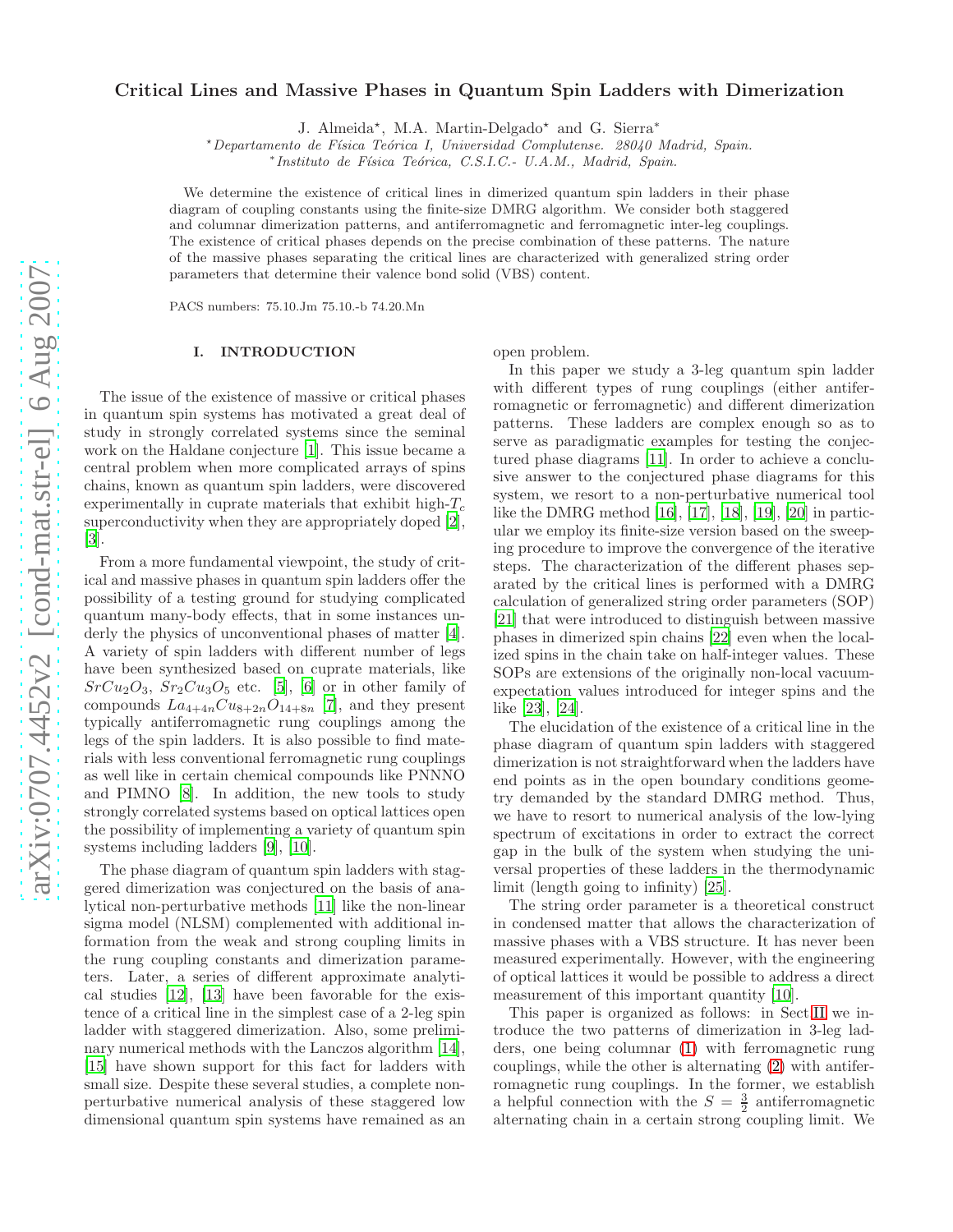# Critical Lines and Massive Phases in Quantum Spin Ladders with Dimerization

J. Almeida<sup>★</sup>, M.A. Martin-Delgado<sup>★</sup> and G. Sierra<sup>\*</sup>

\*Departamento de Física Teórica I, Universidad Complutense. 28040 Madrid, Spain.

\* Instituto de Física Teórica, C.S.I.C.- U.A.M., Madrid, Spain.

We determine the existence of critical lines in dimerized quantum spin ladders in their phase diagram of coupling constants using the finite-size DMRG algorithm. We consider both staggered and columnar dimerization patterns, and antiferromagnetic and ferromagnetic inter-leg couplings. The existence of critical phases depends on the precise combination of these patterns. The nature of the massive phases separating the critical lines are characterized with generalized string order parameters that determine their valence bond solid (VBS) content.

PACS numbers: 75.10.Jm 75.10.-b 74.20.Mn

## I. INTRODUCTION

The issue of the existence of massive or critical phases in quantum spin systems has motivated a great deal of study in strongly correlated systems since the seminal work on the Haldane conjecture [\[1\]](#page-7-0). This issue became a central problem when more complicated arrays of spins chains, known as quantum spin ladders, were discovered experimentally in cuprate materials that exhibit high- $T_c$ superconductivity when they are appropriately doped [\[2\]](#page-7-1), [\[3\]](#page-7-2).

From a more fundamental viewpoint, the study of critical and massive phases in quantum spin ladders offer the possibility of a testing ground for studying complicated quantum many-body effects, that in some instances underly the physics of unconventional phases of matter [\[4\]](#page-7-3). A variety of spin ladders with different number of legs have been synthesized based on cuprate materials, like  $SrCu<sub>2</sub>O<sub>3</sub>$ ,  $Sr<sub>2</sub>Cu<sub>3</sub>O<sub>5</sub>$  etc. [\[5\]](#page-7-4), [\[6\]](#page-7-5) or in other family of compounds  $La_{4+4n}Cu_{8+2n}O_{14+8n}$  [\[7\]](#page-7-6), and they present typically antiferromagnetic rung couplings among the legs of the spin ladders. It is also possible to find materials with less conventional ferromagnetic rung couplings as well like in certain chemical compounds like PNNNO and PIMNO [\[8](#page-7-7)]. In addition, the new tools to study strongly correlated systems based on optical lattices open the possibility of implementing a variety of quantum spin systems including ladders [\[9](#page-7-8)], [\[10\]](#page-7-9).

The phase diagram of quantum spin ladders with staggered dimerization was conjectured on the basis of analytical non-perturbative methods [\[11\]](#page-7-10) like the non-linear sigma model (NLSM) complemented with additional information from the weak and strong coupling limits in the rung coupling constants and dimerization parameters. Later, a series of different approximate analytical studies [\[12\]](#page-7-11), [\[13](#page-7-12)] have been favorable for the existence of a critical line in the simplest case of a 2-leg spin ladder with staggered dimerization. Also, some preliminary numerical methods with the Lanczos algorithm [\[14\]](#page-7-13), [\[15\]](#page-7-14) have shown support for this fact for ladders with small size. Despite these several studies, a complete nonperturbative numerical analysis of these staggered low dimensional quantum spin systems have remained as an open problem.

In this paper we study a 3-leg quantum spin ladder with different types of rung couplings (either antiferromagnetic or ferromagnetic) and different dimerization patterns. These ladders are complex enough so as to serve as paradigmatic examples for testing the conjectured phase diagrams [\[11\]](#page-7-10). In order to achieve a conclusive answer to the conjectured phase diagrams for this system, we resort to a non-perturbative numerical tool like the DMRG method [\[16](#page-7-15)], [\[17](#page-8-0)], [\[18](#page-8-1)], [\[19](#page-8-2)], [\[20](#page-8-3)] in particular we employ its finite-size version based on the sweeping procedure to improve the convergence of the iterative steps. The characterization of the different phases separated by the critical lines is performed with a DMRG calculation of generalized string order parameters (SOP) [\[21\]](#page-8-4) that were introduced to distinguish between massive phases in dimerized spin chains [\[22](#page-8-5)] even when the localized spins in the chain take on half-integer values. These SOPs are extensions of the originally non-local vacuumexpectation values introduced for integer spins and the like [\[23](#page-8-6)], [\[24\]](#page-8-7).

The elucidation of the existence of a critical line in the phase diagram of quantum spin ladders with staggered dimerization is not straightforward when the ladders have end points as in the open boundary conditions geometry demanded by the standard DMRG method. Thus, we have to resort to numerical analysis of the low-lying spectrum of excitations in order to extract the correct gap in the bulk of the system when studying the universal properties of these ladders in the thermodynamic limit (length going to infinity) [\[25\]](#page-8-8).

The string order parameter is a theoretical construct in condensed matter that allows the characterization of massive phases with a VBS structure. It has never been measured experimentally. However, with the engineering of optical lattices it would be possible to address a direct measurement of this important quantity [\[10](#page-7-9)].

This paper is organized as follows: in Sect[.II](#page-1-0) we introduce the two patterns of dimerization in 3-leg ladders, one being columnar [\(1\)](#page-1-1) with ferromagnetic rung couplings, while the other is alternating [\(2\)](#page-2-0) with antiferromagnetic rung couplings. In the former, we establish a helpful connection with the  $S = \frac{3}{2}$  antiferromagnetic alternating chain in a certain strong coupling limit. We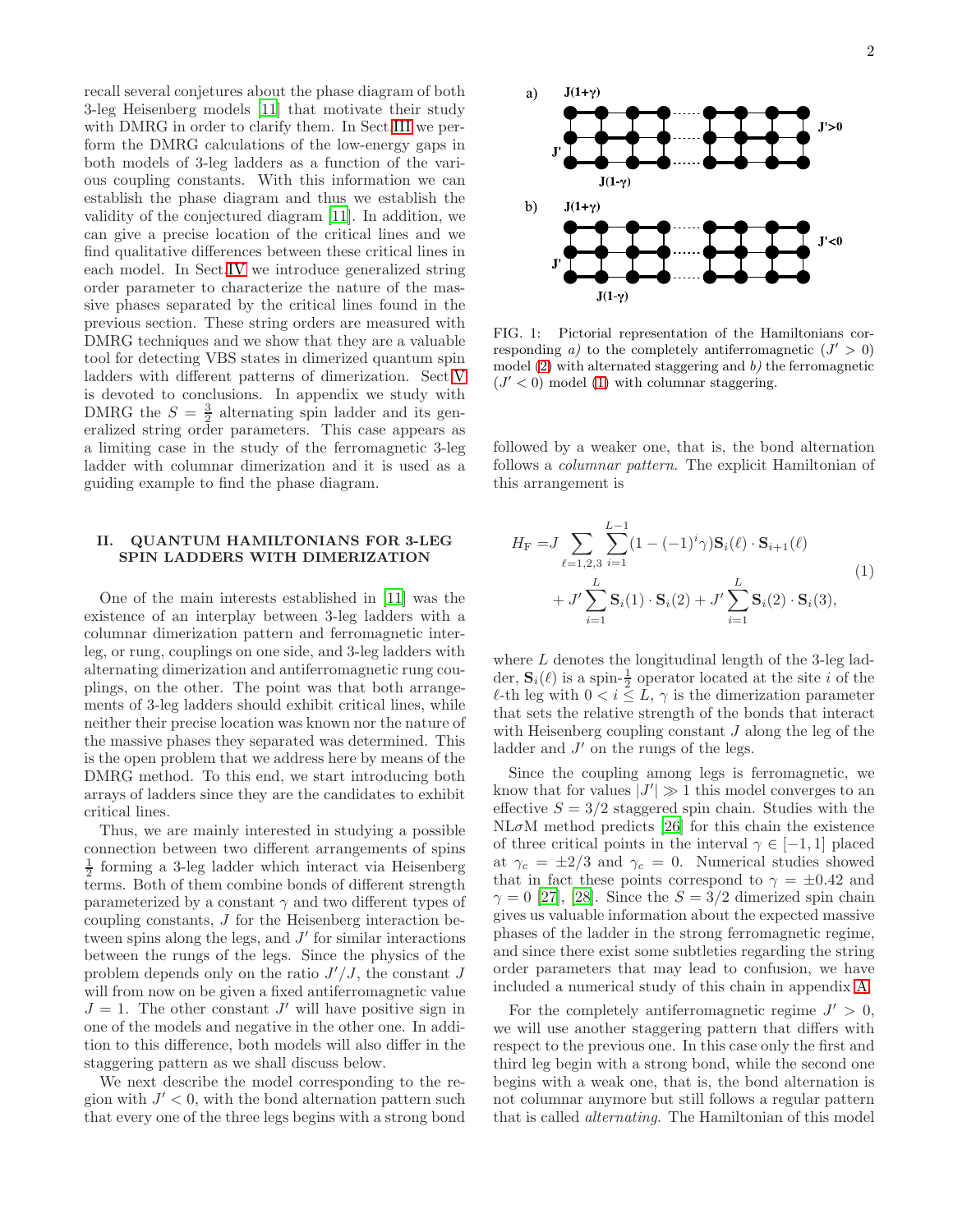recall several conjetures about the phase diagram of both 3-leg Heisenberg models [\[11\]](#page-7-10) that motivate their study with DMRG in order to clarify them. In Sect[.III](#page-2-1) we perform the DMRG calculations of the low-energy gaps in both models of 3-leg ladders as a function of the various coupling constants. With this information we can establish the phase diagram and thus we establish the validity of the conjectured diagram [\[11](#page-7-10)]. In addition, we can give a precise location of the critical lines and we find qualitative differences between these critical lines in each model. In Sect[.IV](#page-3-0) we introduce generalized string order parameter to characterize the nature of the massive phases separated by the critical lines found in the previous section. These string orders are measured with DMRG techniques and we show that they are a valuable tool for detecting VBS states in dimerized quantum spin ladders with different patterns of dimerization. Sect[.V](#page-5-0) is devoted to conclusions. In appendix we study with DMRG the  $S = \frac{3}{2}$  alternating spin ladder and its generalized string order parameters. This case appears as a limiting case in the study of the ferromagnetic 3-leg ladder with columnar dimerization and it is used as a guiding example to find the phase diagram.

#### <span id="page-1-0"></span>II. QUANTUM HAMILTONIANS FOR 3-LEG SPIN LADDERS WITH DIMERIZATION

One of the main interests established in [\[11\]](#page-7-10) was the existence of an interplay between 3-leg ladders with a columnar dimerization pattern and ferromagnetic interleg, or rung, couplings on one side, and 3-leg ladders with alternating dimerization and antiferromagnetic rung couplings, on the other. The point was that both arrangements of 3-leg ladders should exhibit critical lines, while neither their precise location was known nor the nature of the massive phases they separated was determined. This is the open problem that we address here by means of the DMRG method. To this end, we start introducing both arrays of ladders since they are the candidates to exhibit critical lines.

Thus, we are mainly interested in studying a possible connection between two different arrangements of spins  $\frac{1}{2}$  forming a 3-leg ladder which interact via Heisenberg terms. Both of them combine bonds of different strength parameterized by a constant  $\gamma$  and two different types of coupling constants, J for the Heisenberg interaction between spins along the legs, and  $J'$  for similar interactions between the rungs of the legs. Since the physics of the problem depends only on the ratio  $J'/J$ , the constant J will from now on be given a fixed antiferromagnetic value  $J = 1$ . The other constant  $J'$  will have positive sign in one of the models and negative in the other one. In addition to this difference, both models will also differ in the staggering pattern as we shall discuss below.

We next describe the model corresponding to the region with  $J' < 0$ , with the bond alternation pattern such that every one of the three legs begins with a strong bond



<span id="page-1-2"></span>FIG. 1: Pictorial representation of the Hamiltonians corresponding a) to the completely antiferromagnetic  $(J' > 0)$ model  $(2)$  with alternated staggering and  $b$ ) the ferromagnetic  $(J' < 0)$  model [\(1\)](#page-1-1) with columnar staggering.

followed by a weaker one, that is, the bond alternation follows a columnar pattern. The explicit Hamiltonian of this arrangement is

<span id="page-1-1"></span>
$$
H_{\mathcal{F}} = J \sum_{\ell=1,2,3} \sum_{i=1}^{L-1} (1 - (-1)^i \gamma) \mathbf{S}_i(\ell) \cdot \mathbf{S}_{i+1}(\ell) + J' \sum_{i=1}^{L} \mathbf{S}_i(1) \cdot \mathbf{S}_i(2) + J' \sum_{i=1}^{L} \mathbf{S}_i(2) \cdot \mathbf{S}_i(3),
$$
 (1)

where L denotes the longitudinal length of the 3-leg ladder,  $\mathbf{S}_i(\ell)$  is a spin- $\frac{1}{2}$  operator located at the site i of the  $\ell$ -th leg with  $0 < i \leq L$ ,  $\gamma$  is the dimerization parameter that sets the relative strength of the bonds that interact with Heisenberg coupling constant  $J$  along the leg of the ladder and  $J'$  on the rungs of the legs.

Since the coupling among legs is ferromagnetic, we know that for values  $|J'| \gg 1$  this model converges to an effective  $S = 3/2$  staggered spin chain. Studies with the  $NL<sub>\sigma</sub>M$  method predicts [\[26](#page-8-9)] for this chain the existence of three critical points in the interval  $\gamma \in [-1,1]$  placed at  $\gamma_c = \pm 2/3$  and  $\gamma_c = 0$ . Numerical studies showed that in fact these points correspond to  $\gamma = \pm 0.42$  and  $\gamma = 0$  [\[27\]](#page-8-10), [\[28\]](#page-8-11). Since the  $S = 3/2$  dimerized spin chain gives us valuable information about the expected massive phases of the ladder in the strong ferromagnetic regime, and since there exist some subtleties regarding the string order parameters that may lead to confusion, we have included a numerical study of this chain in appendix [A.](#page-6-0)

For the completely antiferromagnetic regime  $J' > 0$ , we will use another staggering pattern that differs with respect to the previous one. In this case only the first and third leg begin with a strong bond, while the second one begins with a weak one, that is, the bond alternation is not columnar anymore but still follows a regular pattern that is called alternating. The Hamiltonian of this model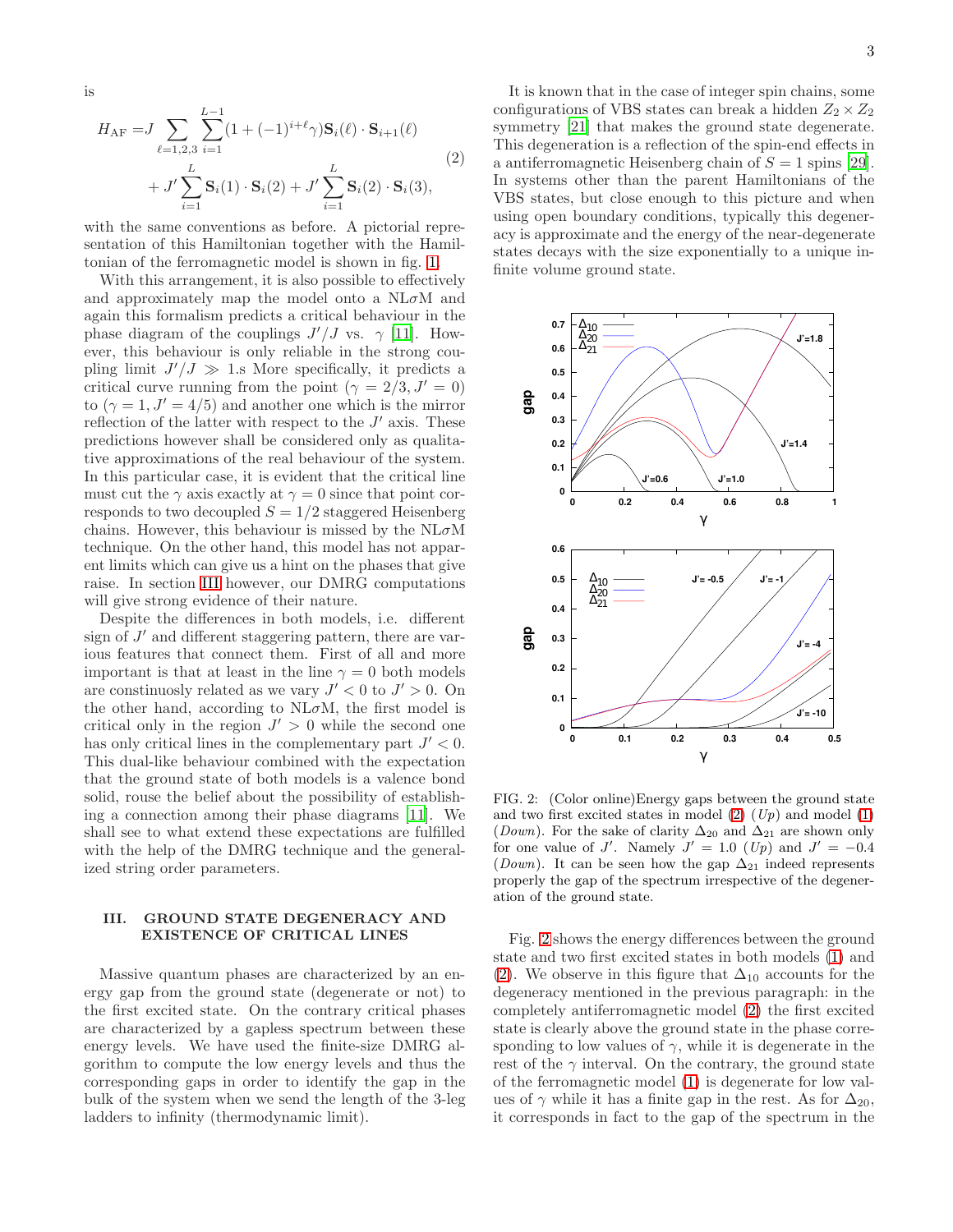is

<span id="page-2-0"></span>
$$
H_{\text{AF}} = J \sum_{\ell=1,2,3} \sum_{i=1}^{L-1} (1 + (-1)^{i+\ell} \gamma) \mathbf{S}_i(\ell) \cdot \mathbf{S}_{i+1}(\ell)
$$
  
+  $J' \sum_{i=1}^{L} \mathbf{S}_i(1) \cdot \mathbf{S}_i(2) + J' \sum_{i=1}^{L} \mathbf{S}_i(2) \cdot \mathbf{S}_i(3),$  (2)

with the same conventions as before. A pictorial representation of this Hamiltonian together with the Hamiltonian of the ferromagnetic model is shown in fig. [1.](#page-1-2)

With this arrangement, it is also possible to effectively and approximately map the model onto a  $NL<sub>\sigma</sub>M$  and again this formalism predicts a critical behaviour in the phase diagram of the couplings  $J'/J$  vs.  $\gamma$  [\[11\]](#page-7-10). However, this behaviour is only reliable in the strong coupling limit  $J'/J \gg 1$ .s More specifically, it predicts a critical curve running from the point  $(\gamma = 2/3, J' = 0)$ to  $(\gamma = 1, J' = 4/5)$  and another one which is the mirror reflection of the latter with respect to the  $J'$  axis. These predictions however shall be considered only as qualitative approximations of the real behaviour of the system. In this particular case, it is evident that the critical line must cut the  $\gamma$  axis exactly at  $\gamma = 0$  since that point corresponds to two decoupled  $S = 1/2$  staggered Heisenberg chains. However, this behaviour is missed by the  $NL<sub>\sigma</sub>M$ technique. On the other hand, this model has not apparent limits which can give us a hint on the phases that give raise. In section [III](#page-2-1) however, our DMRG computations will give strong evidence of their nature.

Despite the differences in both models, i.e. different sign of  $J'$  and different staggering pattern, there are various features that connect them. First of all and more important is that at least in the line  $\gamma = 0$  both models are constinuosly related as we vary  $J' < 0$  to  $J' > 0$ . On the other hand, according to  $NL<sub>\sigma</sub>M$ , the first model is critical only in the region  $J' > 0$  while the second one has only critical lines in the complementary part  $J' < 0$ . This dual-like behaviour combined with the expectation that the ground state of both models is a valence bond solid, rouse the belief about the possibility of establishing a connection among their phase diagrams [\[11](#page-7-10)]. We shall see to what extend these expectations are fulfilled with the help of the DMRG technique and the generalized string order parameters.

## <span id="page-2-1"></span>III. GROUND STATE DEGENERACY AND EXISTENCE OF CRITICAL LINES

Massive quantum phases are characterized by an energy gap from the ground state (degenerate or not) to the first excited state. On the contrary critical phases are characterized by a gapless spectrum between these energy levels. We have used the finite-size DMRG algorithm to compute the low energy levels and thus the corresponding gaps in order to identify the gap in the bulk of the system when we send the length of the 3-leg ladders to infinity (thermodynamic limit).

It is known that in the case of integer spin chains, some configurations of VBS states can break a hidden  $Z_2 \times Z_2$ symmetry [\[21\]](#page-8-4) that makes the ground state degenerate. This degeneration is a reflection of the spin-end effects in a antiferromagnetic Heisenberg chain of  $S = 1$  spins [\[29\]](#page-8-12). In systems other than the parent Hamiltonians of the VBS states, but close enough to this picture and when using open boundary conditions, typically this degeneracy is approximate and the energy of the near-degenerate states decays with the size exponentially to a unique infinite volume ground state.



<span id="page-2-2"></span>FIG. 2: (Color online)Energy gaps between the ground state and two first excited states in model  $(2)$   $(Up)$  and model  $(1)$ (Down). For the sake of clarity  $\Delta_{20}$  and  $\Delta_{21}$  are shown only for one value of J'. Namely  $J' = 1.0$  (Up) and  $J' = -0.4$ (Down). It can be seen how the gap  $\Delta_{21}$  indeed represents properly the gap of the spectrum irrespective of the degeneration of the ground state.

Fig. [2](#page-2-2) shows the energy differences between the ground state and two first excited states in both models [\(1\)](#page-1-1) and [\(2\)](#page-2-0). We observe in this figure that  $\Delta_{10}$  accounts for the degeneracy mentioned in the previous paragraph: in the completely antiferromagnetic model [\(2\)](#page-2-0) the first excited state is clearly above the ground state in the phase corresponding to low values of  $\gamma$ , while it is degenerate in the rest of the  $\gamma$  interval. On the contrary, the ground state of the ferromagnetic model [\(1\)](#page-1-1) is degenerate for low values of  $\gamma$  while it has a finite gap in the rest. As for  $\Delta_{20}$ , it corresponds in fact to the gap of the spectrum in the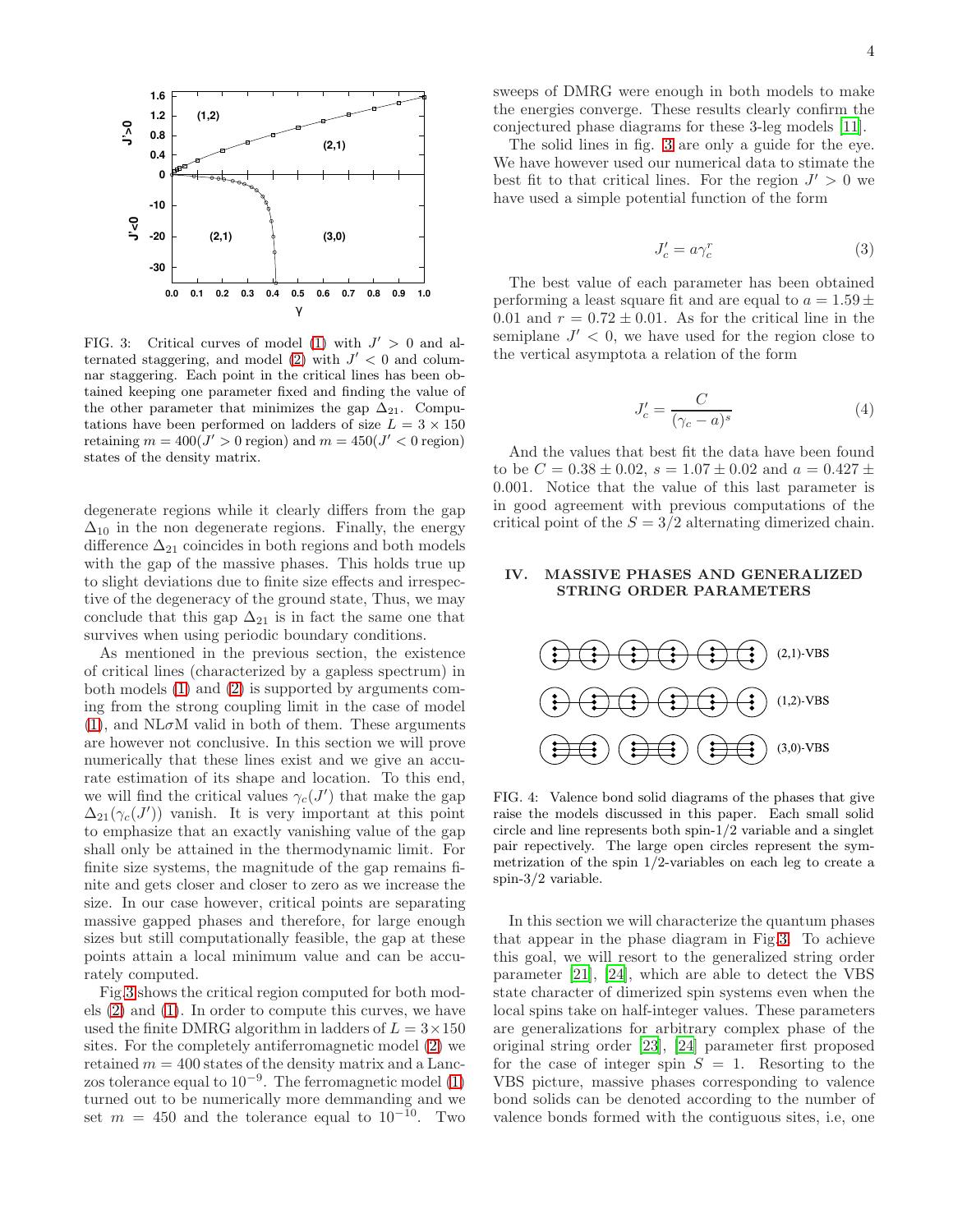

<span id="page-3-1"></span>FIG. 3: Critical curves of model [\(1\)](#page-1-1) with  $J' > 0$  and al-ternated staggering, and model [\(2\)](#page-2-0) with  $J' < 0$  and columnar staggering. Each point in the critical lines has been obtained keeping one parameter fixed and finding the value of the other parameter that minimizes the gap  $\Delta_{21}$ . Computations have been performed on ladders of size  $L = 3 \times 150$ retaining  $m = 400(J' > 0 \text{ region})$  and  $m = 450(J' < 0 \text{ region})$ states of the density matrix.

degenerate regions while it clearly differs from the gap  $\Delta_{10}$  in the non degenerate regions. Finally, the energy difference  $\Delta_{21}$  coincides in both regions and both models with the gap of the massive phases. This holds true up to slight deviations due to finite size effects and irrespective of the degeneracy of the ground state, Thus, we may conclude that this gap  $\Delta_{21}$  is in fact the same one that survives when using periodic boundary conditions.

As mentioned in the previous section, the existence of critical lines (characterized by a gapless spectrum) in both models [\(1\)](#page-1-1) and [\(2\)](#page-2-0) is supported by arguments coming from the strong coupling limit in the case of model  $(1)$ , and NL $\sigma$ M valid in both of them. These arguments are however not conclusive. In this section we will prove numerically that these lines exist and we give an accurate estimation of its shape and location. To this end, we will find the critical values  $\gamma_c(J')$  that make the gap  $\Delta_{21}(\gamma_c(J'))$  vanish. It is very important at this point to emphasize that an exactly vanishing value of the gap shall only be attained in the thermodynamic limit. For finite size systems, the magnitude of the gap remains finite and gets closer and closer to zero as we increase the size. In our case however, critical points are separating massive gapped phases and therefore, for large enough sizes but still computationally feasible, the gap at these points attain a local minimum value and can be accurately computed.

Fig[.3](#page-3-1) shows the critical region computed for both models [\(2\)](#page-2-0) and [\(1\)](#page-1-1). In order to compute this curves, we have used the finite DMRG algorithm in ladders of  $L = 3 \times 150$ sites. For the completely antiferromagnetic model [\(2\)](#page-2-0) we retained  $m = 400$  states of the density matrix and a Lanczos tolerance equal to  $10^{-9}$ . The ferromagnetic model [\(1\)](#page-1-1) turned out to be numerically more demmanding and we set  $m = 450$  and the tolerance equal to  $10^{-10}$ . Two

sweeps of DMRG were enough in both models to make the energies converge. These results clearly confirm the conjectured phase diagrams for these 3-leg models [\[11\]](#page-7-10).

The solid lines in fig. [3](#page-3-1) are only a guide for the eye. We have however used our numerical data to stimate the best fit to that critical lines. For the region  $J' > 0$  we have used a simple potential function of the form

$$
J_c' = a \gamma_c^r \tag{3}
$$

The best value of each parameter has been obtained performing a least square fit and are equal to  $a = 1.59 \pm 1.59$ 0.01 and  $r = 0.72 \pm 0.01$ . As for the critical line in the semiplane  $J' < 0$ , we have used for the region close to the vertical asymptota a relation of the form

$$
J_c' = \frac{C}{(\gamma_c - a)^s} \tag{4}
$$

And the values that best fit the data have been found to be  $C = 0.38 \pm 0.02$ ,  $s = 1.07 \pm 0.02$  and  $a = 0.427 \pm 0.02$ 0.001. Notice that the value of this last parameter is in good agreement with previous computations of the critical point of the  $S = 3/2$  alternating dimerized chain.

## <span id="page-3-0"></span>IV. MASSIVE PHASES AND GENERALIZED STRING ORDER PARAMETERS



FIG. 4: Valence bond solid diagrams of the phases that give raise the models discussed in this paper. Each small solid circle and line represents both spin-1/2 variable and a singlet pair repectively. The large open circles represent the symmetrization of the spin 1/2-variables on each leg to create a spin-3/2 variable.

In this section we will characterize the quantum phases that appear in the phase diagram in Fig[.3.](#page-3-1) To achieve this goal, we will resort to the generalized string order parameter [\[21](#page-8-4)], [\[24](#page-8-7)], which are able to detect the VBS state character of dimerized spin systems even when the local spins take on half-integer values. These parameters are generalizations for arbitrary complex phase of the original string order [\[23](#page-8-6)], [\[24\]](#page-8-7) parameter first proposed for the case of integer spin  $S = 1$ . Resorting to the VBS picture, massive phases corresponding to valence bond solids can be denoted according to the number of valence bonds formed with the contiguous sites, i.e, one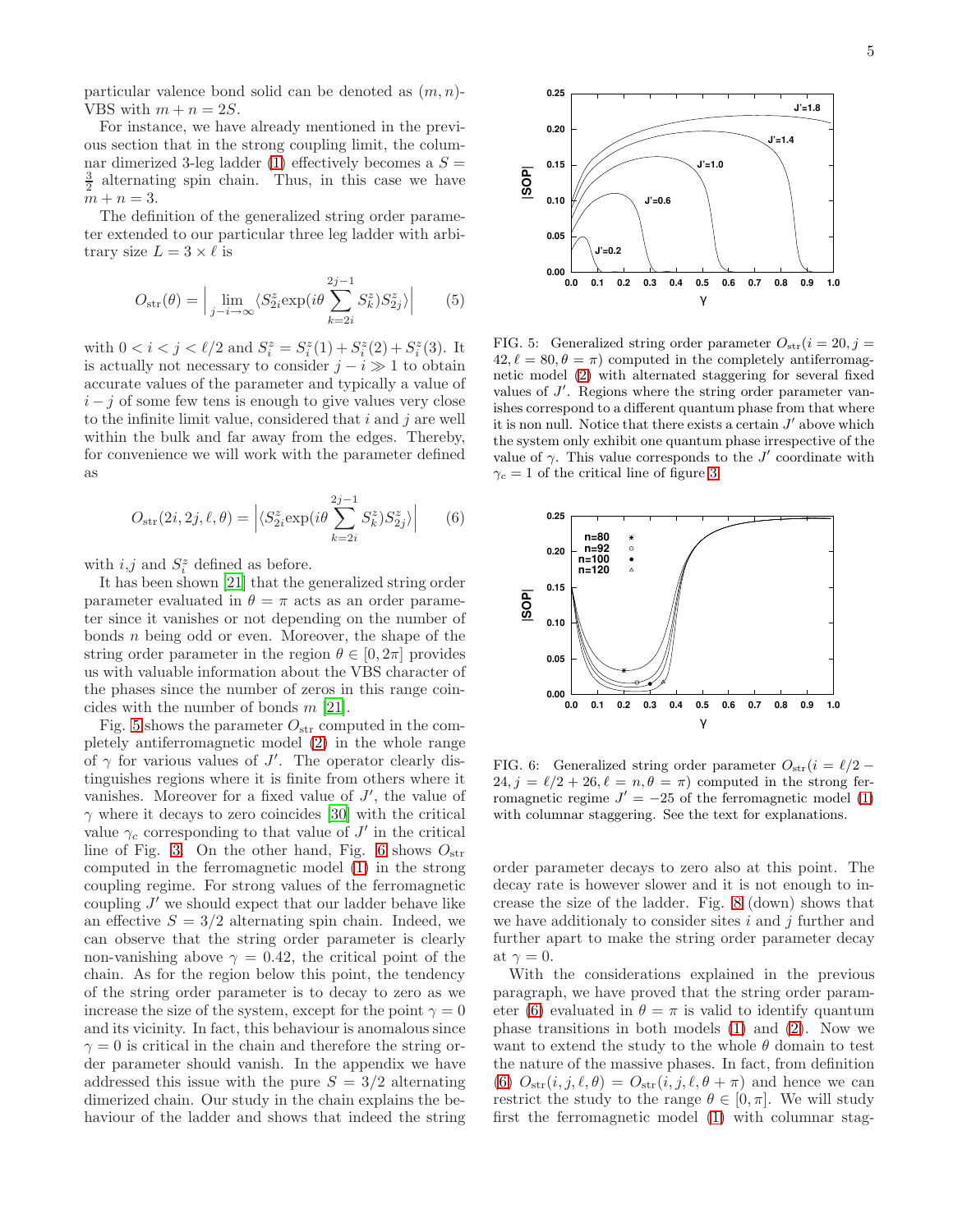particular valence bond solid can be denoted as  $(m, n)$ -VBS with  $m + n = 2S$ .

For instance, we have already mentioned in the previous section that in the strong coupling limit, the colum-nar dimerized 3-leg ladder [\(1\)](#page-1-1) effectively becomes a  $S =$  $\frac{3}{2}$  alternating spin chain. Thus, in this case we have  $m + n = 3$ .

The definition of the generalized string order parameter extended to our particular three leg ladder with arbitrary size  $L = 3 \times \ell$  is

$$
O_{\rm str}(\theta) = \Big| \lim_{j - i \to \infty} \langle S_{2i}^z \exp(i\theta \sum_{k=2i}^{2j-1} S_k^z) S_{2j}^z \rangle \Big| \qquad (5)
$$

with  $0 < i < j < \ell/2$  and  $S_i^z = S_i^z(1) + S_i^z(2) + S_i^z(3)$ . It is actually not necessary to consider  $j - i \gg 1$  to obtain accurate values of the parameter and typically a value of  $i - j$  of some few tens is enough to give values very close to the infinite limit value, considered that  $i$  and  $j$  are well within the bulk and far away from the edges. Thereby, for convenience we will work with the parameter defined as

<span id="page-4-2"></span>
$$
O_{\rm str}(2i, 2j, \ell, \theta) = \left| \langle S_{2i}^{z} \exp(i\theta \sum_{k=2i}^{2j-1} S_{k}^{z}) S_{2j}^{z} \rangle \right| \qquad (6)
$$

with  $i, j$  and  $S_i^z$  defined as before.

It has been shown [\[21\]](#page-8-4) that the generalized string order parameter evaluated in  $\theta = \pi$  acts as an order parameter since it vanishes or not depending on the number of bonds  $n$  being odd or even. Moreover, the shape of the string order parameter in the region  $\theta \in [0, 2\pi]$  provides us with valuable information about the VBS character of the phases since the number of zeros in this range coincides with the number of bonds  $m$  [\[21\]](#page-8-4).

Fig. [5](#page-4-0) shows the parameter  $O_{str}$  computed in the completely antiferromagnetic model [\(2\)](#page-2-0) in the whole range of  $\gamma$  for various values of J'. The operator clearly distinguishes regions where it is finite from others where it vanishes. Moreover for a fixed value of  $J'$ , the value of  $\gamma$  where it decays to zero coincides [\[30\]](#page-8-13) with the critical value  $\gamma_c$  corresponding to that value of J' in the critical line of Fig. [3.](#page-3-1) On the other hand, Fig. [6](#page-4-1) shows  $O_{\text{str}}$ computed in the ferromagnetic model [\(1\)](#page-1-1) in the strong coupling regime. For strong values of the ferromagnetic coupling  $J'$  we should expect that our ladder behave like an effective  $S = 3/2$  alternating spin chain. Indeed, we can observe that the string order parameter is clearly non-vanishing above  $\gamma = 0.42$ , the critical point of the chain. As for the region below this point, the tendency of the string order parameter is to decay to zero as we increase the size of the system, except for the point  $\gamma = 0$ and its vicinity. In fact, this behaviour is anomalous since  $\gamma = 0$  is critical in the chain and therefore the string order parameter should vanish. In the appendix we have addressed this issue with the pure  $S = 3/2$  alternating dimerized chain. Our study in the chain explains the behaviour of the ladder and shows that indeed the string



<span id="page-4-0"></span>FIG. 5: Generalized string order parameter  $O_{\text{str}}(i = 20, j =$  $42, \ell = 80, \theta = \pi$  computed in the completely antiferromagnetic model [\(2\)](#page-2-0) with alternated staggering for several fixed values of  $J'$ . Regions where the string order parameter vanishes correspond to a different quantum phase from that where it is non null. Notice that there exists a certain  $J'$  above which the system only exhibit one quantum phase irrespective of the value of  $\gamma$ . This value corresponds to the J' coordinate with  $\gamma_c = 1$  of the critical line of figure [3.](#page-3-1)



<span id="page-4-1"></span>FIG. 6: Generalized string order parameter  $O_{str}(i = \ell/2 24, j = \ell/2 + 26, \ell = n, \theta = \pi$  computed in the strong ferromagnetic regime  $J' = -25$  of the ferromagnetic model [\(1\)](#page-1-1) with columnar staggering. See the text for explanations.

order parameter decays to zero also at this point. The decay rate is however slower and it is not enough to increase the size of the ladder. Fig. [8](#page-6-1) (down) shows that we have additionaly to consider sites  $i$  and  $j$  further and further apart to make the string order parameter decay at  $\gamma = 0$ .

With the considerations explained in the previous paragraph, we have proved that the string order param-eter [\(6\)](#page-4-2) evaluated in  $\theta = \pi$  is valid to identify quantum phase transitions in both models [\(1\)](#page-1-1) and [\(2\)](#page-2-0). Now we want to extend the study to the whole  $\theta$  domain to test the nature of the massive phases. In fact, from definition [\(6\)](#page-4-2)  $O_{str}(i, j, \ell, \theta) = O_{str}(i, j, \ell, \theta + \pi)$  and hence we can restrict the study to the range  $\theta \in [0, \pi]$ . We will study first the ferromagnetic model [\(1\)](#page-1-1) with columnar stag-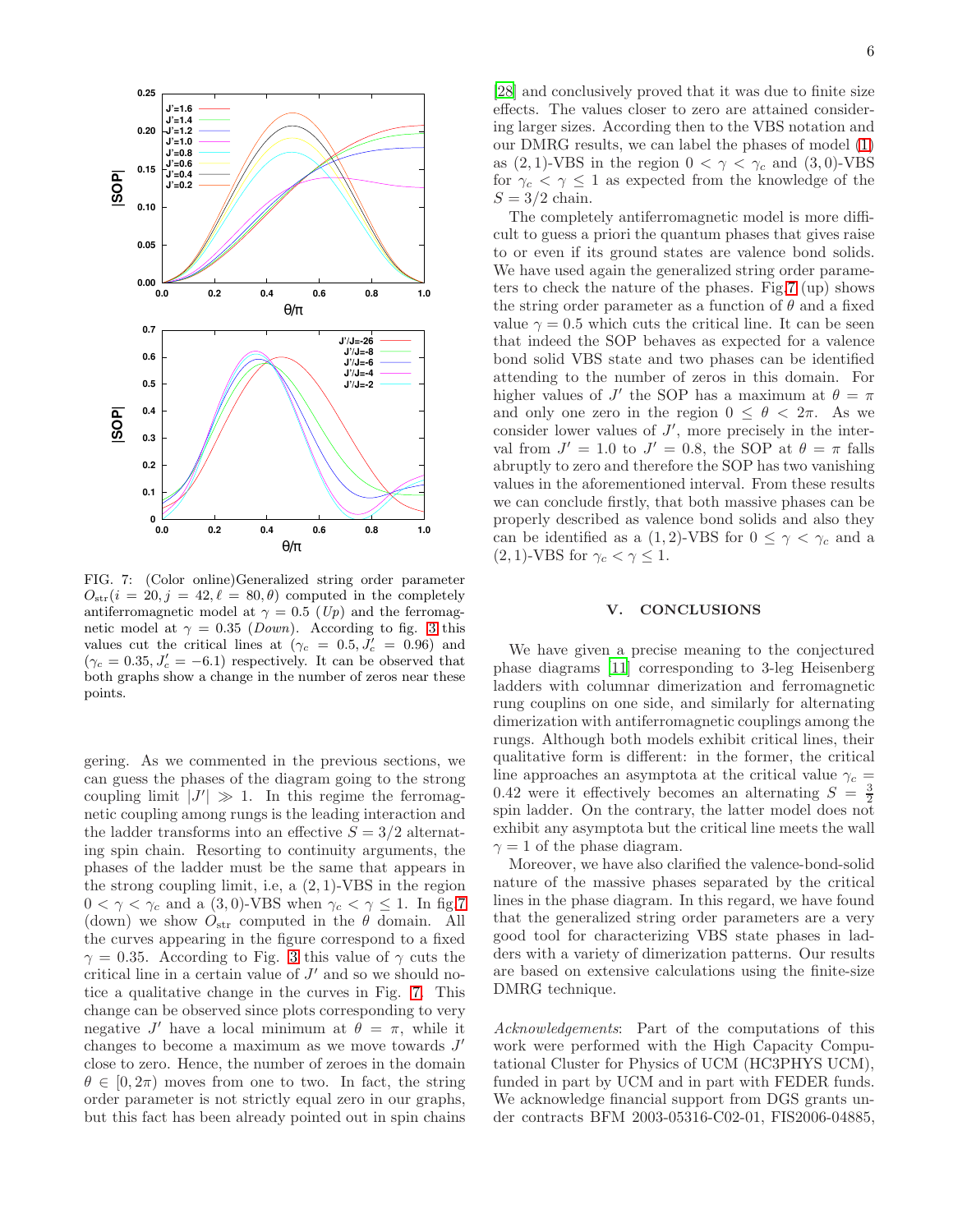

<span id="page-5-1"></span>FIG. 7: (Color online)Generalized string order parameter  $O_{\text{str}}(i = 20, j = 42, \ell = 80, \theta)$  computed in the completely antiferromagnetic model at  $\gamma = 0.5$  (Up) and the ferromagnetic model at  $\gamma = 0.35$  (*Down*). According to fig. [3](#page-3-1) this values cut the critical lines at  $(\gamma_c = 0.5, J_c' = 0.96)$  and  $(\gamma_c = 0.35, J_c' = -6.1)$  respectively. It can be observed that both graphs show a change in the number of zeros near these points.

gering. As we commented in the previous sections, we can guess the phases of the diagram going to the strong coupling limit  $|J'| \gg 1$ . In this regime the ferromagnetic coupling among rungs is the leading interaction and the ladder transforms into an effective  $S = 3/2$  alternating spin chain. Resorting to continuity arguments, the phases of the ladder must be the same that appears in the strong coupling limit, i.e, a  $(2, 1)$ -VBS in the region  $0 < \gamma < \gamma_c$  and a (3,0)-VBS when  $\gamma_c < \gamma \leq 1$ . In fig[.7](#page-5-1) (down) we show  $O_{str}$  computed in the  $\theta$  domain. All the curves appearing in the figure correspond to a fixed  $\gamma = 0.35$  $\gamma = 0.35$  $\gamma = 0.35$ . According to Fig. 3 this value of  $\gamma$  cuts the critical line in a certain value of  $J'$  and so we should notice a qualitative change in the curves in Fig. [7.](#page-5-1) This change can be observed since plots corresponding to very negative J' have a local minimum at  $\theta = \pi$ , while it changes to become a maximum as we move towards  $J'$ close to zero. Hence, the number of zeroes in the domain  $\theta \in [0, 2\pi)$  moves from one to two. In fact, the string order parameter is not strictly equal zero in our graphs, but this fact has been already pointed out in spin chains

[\[28\]](#page-8-11) and conclusively proved that it was due to finite size effects. The values closer to zero are attained considering larger sizes. According then to the VBS notation and our DMRG results, we can label the phases of model [\(1\)](#page-1-1) as (2, 1)-VBS in the region  $0 < \gamma < \gamma_c$  and (3, 0)-VBS for  $\gamma_c < \gamma \leq 1$  as expected from the knowledge of the  $S = 3/2$  chain.

The completely antiferromagnetic model is more difficult to guess a priori the quantum phases that gives raise to or even if its ground states are valence bond solids. We have used again the generalized string order parameters to check the nature of the phases. Fig[.7](#page-5-1) (up) shows the string order parameter as a function of  $\theta$  and a fixed value  $\gamma = 0.5$  which cuts the critical line. It can be seen that indeed the SOP behaves as expected for a valence bond solid VBS state and two phases can be identified attending to the number of zeros in this domain. For higher values of J' the SOP has a maximum at  $\theta = \pi$ and only one zero in the region  $0 \le \theta \le 2\pi$ . As we consider lower values of  $J'$ , more precisely in the interval from  $J' = 1.0$  to  $J' = 0.8$ , the SOP at  $\theta = \pi$  falls abruptly to zero and therefore the SOP has two vanishing values in the aforementioned interval. From these results we can conclude firstly, that both massive phases can be properly described as valence bond solids and also they can be identified as a (1,2)-VBS for  $0 \leq \gamma < \gamma_c$  and a  $(2, 1)$ -VBS for  $\gamma_c < \gamma \leq 1$ .

#### <span id="page-5-0"></span>V. CONCLUSIONS

We have given a precise meaning to the conjectured phase diagrams [\[11\]](#page-7-10) corresponding to 3-leg Heisenberg ladders with columnar dimerization and ferromagnetic rung couplins on one side, and similarly for alternating dimerization with antiferromagnetic couplings among the rungs. Although both models exhibit critical lines, their qualitative form is different: in the former, the critical line approaches an asymptota at the critical value  $\gamma_c =$ 0.42 were it effectively becomes an alternating  $S = \frac{3}{2}$ spin ladder. On the contrary, the latter model does not exhibit any asymptota but the critical line meets the wall  $\gamma=1$  of the phase diagram.

Moreover, we have also clarified the valence-bond-solid nature of the massive phases separated by the critical lines in the phase diagram. In this regard, we have found that the generalized string order parameters are a very good tool for characterizing VBS state phases in ladders with a variety of dimerization patterns. Our results are based on extensive calculations using the finite-size DMRG technique.

Acknowledgements: Part of the computations of this work were performed with the High Capacity Computational Cluster for Physics of UCM (HC3PHYS UCM), funded in part by UCM and in part with FEDER funds. We acknowledge financial support from DGS grants under contracts BFM 2003-05316-C02-01, FIS2006-04885,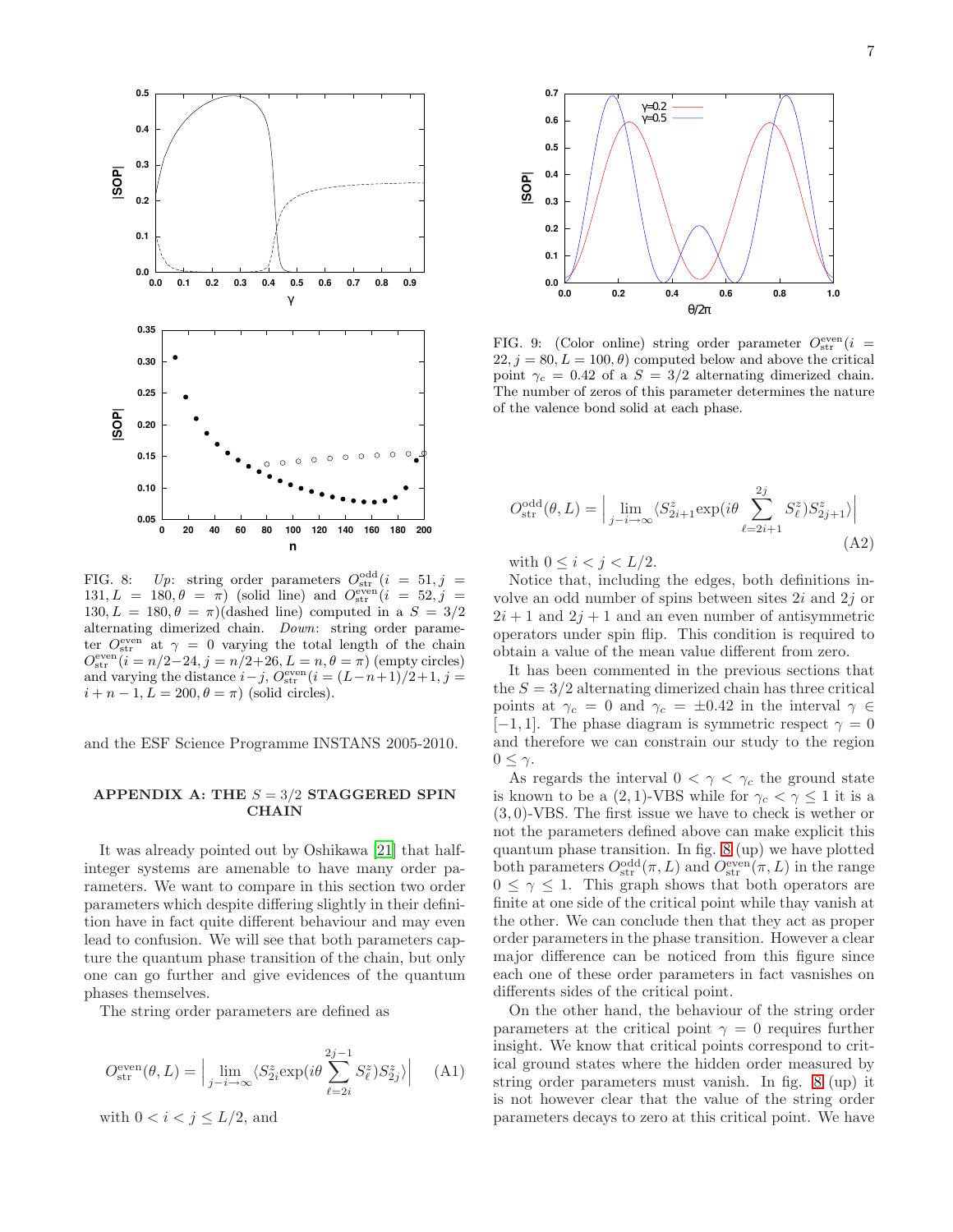

<span id="page-6-1"></span>FIG. 8: Up: string order parameters  $O_{str}^{odd}(i = 51, j = 11)$ 131,  $L = 180, \theta = \pi$ ) (solid line) and  $O_{\text{str}}^{\text{even}}(i = 52, j =$ 130,  $L = 180, \theta = \pi$ )(dashed line) computed in a  $S = 3/2$ alternating dimerized chain. Down: string order parameter  $O_{\text{str}}^{\text{even}}$  at  $\gamma = 0$  varying the total length of the chain  $Q_{\text{str}}^{\text{even}}(i=n/2-24, j=n/2+26, L=n, \theta=\pi)$  (empty circles) and varying the distance  $i - j$ ,  $\dot{O}_{\rm str}^{\rm even}$   $(i = (L-n+1)/2+1, j = 1$  $i + n - 1, L = 200, \theta = \pi$  (solid circles).

and the ESF Science Programme INSTANS 2005-2010.

## <span id="page-6-0"></span>APPENDIX A: THE  $S = 3/2$  STAGGERED SPIN **CHAIN**

It was already pointed out by Oshikawa [\[21](#page-8-4)] that halfinteger systems are amenable to have many order parameters. We want to compare in this section two order parameters which despite differing slightly in their definition have in fact quite different behaviour and may even lead to confusion. We will see that both parameters capture the quantum phase transition of the chain, but only one can go further and give evidences of the quantum phases themselves.

The string order parameters are defined as

$$
O_{\text{str}}^{\text{even}}(\theta, L) = \Big| \lim_{j - i \to \infty} \langle S_{2i}^{z} \exp(i\theta \sum_{\ell=2i}^{2j-1} S_{\ell}^{z}) S_{2j}^{z} \rangle \Big| \tag{A1}
$$

with  $0 < i < j \leq L/2$ , and



<span id="page-6-2"></span>FIG. 9: (Color online) string order parameter  $O_{str}^{even}(i =$  $22, j = 80, L = 100, \theta$  computed below and above the critical point  $\gamma_c = 0.42$  of a  $S = 3/2$  alternating dimerized chain. The number of zeros of this parameter determines the nature of the valence bond solid at each phase.

$$
O_{\text{str}}^{\text{odd}}(\theta, L) = \Big| \lim_{j - i \to \infty} \langle S_{2i+1}^z \exp(i\theta \sum_{\ell=2i+1}^{2j} S_{\ell}^z) S_{2j+1}^z \rangle \Big|
$$
\n(A2)

with  $0 \leq i < j < L/2$ .

Notice that, including the edges, both definitions involve an odd number of spins between sites 2i and 2j or  $2i + 1$  and  $2j + 1$  and an even number of antisymmetric operators under spin flip. This condition is required to obtain a value of the mean value different from zero.

It has been commented in the previous sections that the  $S = 3/2$  alternating dimerized chain has three critical points at  $\gamma_c = 0$  and  $\gamma_c = \pm 0.42$  in the interval  $\gamma \in$  $[-1, 1]$ . The phase diagram is symmetric respect  $\gamma = 0$ and therefore we can constrain our study to the region  $0 \leq \gamma$ .

As regards the interval  $0 < \gamma < \gamma_c$  the ground state is known to be a  $(2, 1)$ -VBS while for  $\gamma_c < \gamma \leq 1$  it is a (3, 0)-VBS. The first issue we have to check is wether or not the parameters defined above can make explicit this quantum phase transition. In fig. [8](#page-6-1) (up) we have plotted both parameters  $O_{\text{str}}^{\text{odd}}(\pi, L)$  and  $O_{\text{str}}^{\text{even}}(\pi, L)$  in the range  $0 \leq \gamma \leq 1$ . This graph shows that both operators are finite at one side of the critical point while thay vanish at the other. We can conclude then that they act as proper order parameters in the phase transition. However a clear major difference can be noticed from this figure since each one of these order parameters in fact vasnishes on differents sides of the critical point.

On the other hand, the behaviour of the string order parameters at the critical point  $\gamma = 0$  requires further insight. We know that critical points correspond to critical ground states where the hidden order measured by string order parameters must vanish. In fig. [8](#page-6-1) (up) it is not however clear that the value of the string order parameters decays to zero at this critical point. We have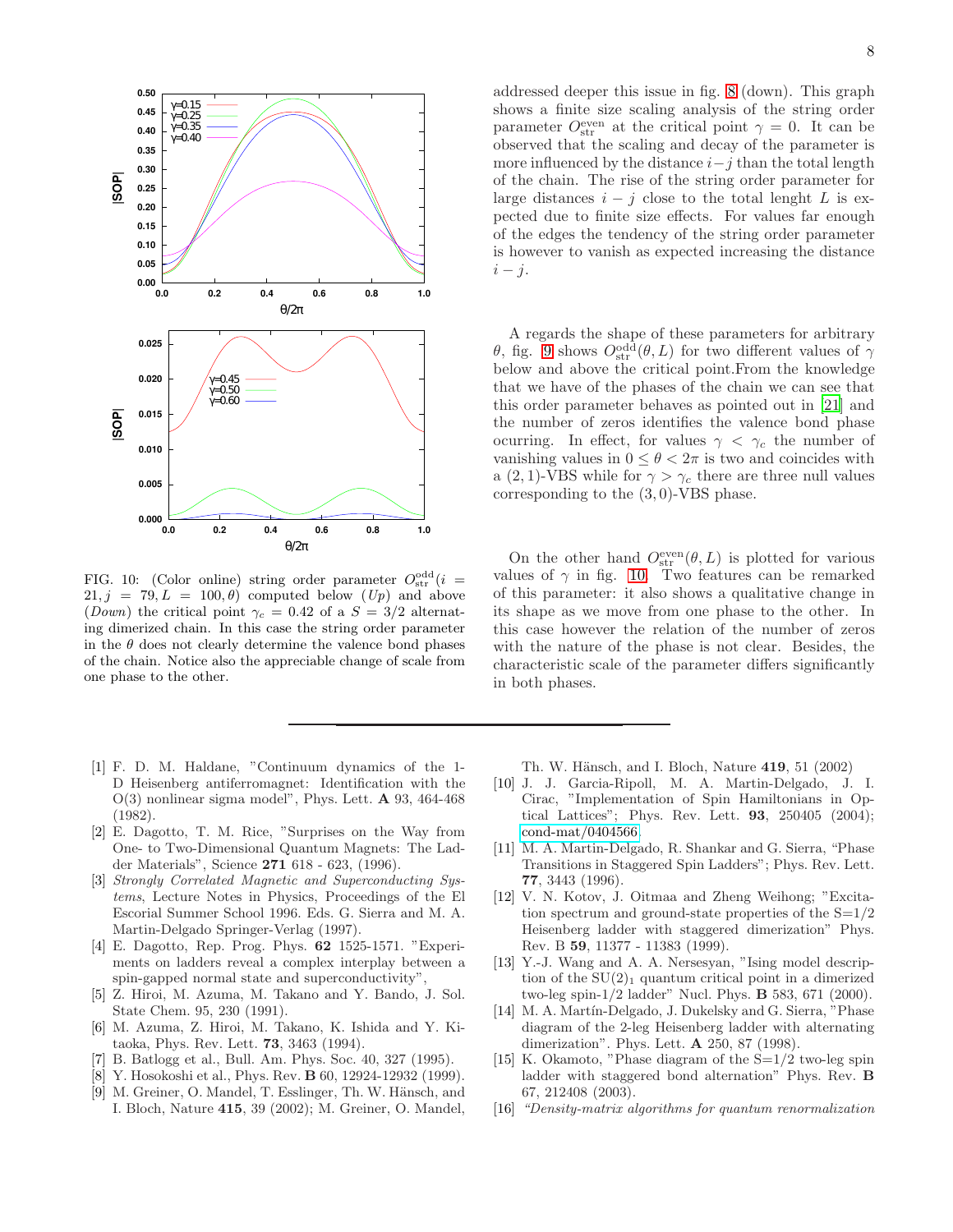

<span id="page-7-16"></span>FIG. 10: (Color online) string order parameter  $O_{str}^{odd}(i =$  $21, j = 79, L = 100, \theta$  computed below  $(Up)$  and above (Down) the critical point  $\gamma_c = 0.42$  of a  $S = 3/2$  alternating dimerized chain. In this case the string order parameter in the  $\theta$  does not clearly determine the valence bond phases of the chain. Notice also the appreciable change of scale from one phase to the other.

- <span id="page-7-0"></span>[1] F. D. M. Haldane, "Continuum dynamics of the 1- D Heisenberg antiferromagnet: Identification with the  $O(3)$  nonlinear sigma model", Phys. Lett. **A** 93, 464-468 (1982).
- <span id="page-7-1"></span>[2] E. Dagotto, T. M. Rice, "Surprises on the Way from One- to Two-Dimensional Quantum Magnets: The Ladder Materials", Science 271 618 - 623, (1996).
- <span id="page-7-2"></span>[3] Strongly Correlated Magnetic and Superconducting Systems, Lecture Notes in Physics, Proceedings of the El Escorial Summer School 1996. Eds. G. Sierra and M. A. Martin-Delgado Springer-Verlag (1997).
- <span id="page-7-3"></span>[4] E. Dagotto, Rep. Prog. Phys. 62 1525-1571. "Experiments on ladders reveal a complex interplay between a spin-gapped normal state and superconductivity",
- <span id="page-7-4"></span>[5] Z. Hiroi, M. Azuma, M. Takano and Y. Bando, J. Sol. State Chem. 95, 230 (1991).
- <span id="page-7-5"></span>[6] M. Azuma, Z. Hiroi, M. Takano, K. Ishida and Y. Kitaoka, Phys. Rev. Lett. 73, 3463 (1994).
- <span id="page-7-6"></span>[7] B. Batlogg et al., Bull. Am. Phys. Soc. 40, 327 (1995).
- <span id="page-7-7"></span>[8] Y. Hosokoshi et al., Phys. Rev. **B** 60, 12924-12932 (1999).
- <span id="page-7-8"></span>[9] M. Greiner, O. Mandel, T. Esslinger, Th. W. Hänsch, and I. Bloch, Nature 415, 39 (2002); M. Greiner, O. Mandel,

addressed deeper this issue in fig. [8](#page-6-1) (down). This graph shows a finite size scaling analysis of the string order parameter  $O_{str}^{even}$  at the critical point  $\gamma = 0$ . It can be observed that the scaling and decay of the parameter is more influenced by the distance  $i-j$  than the total length of the chain. The rise of the string order parameter for large distances  $i - j$  close to the total lenght L is expected due to finite size effects. For values far enough of the edges the tendency of the string order parameter is however to vanish as expected increasing the distance  $i - j$ .

A regards the shape of these parameters for arbitrary θ, fig. [9](#page-6-2) shows  $O_{str}^{odd}(\theta, L)$  for two different values of  $\gamma$ below and above the critical point.From the knowledge that we have of the phases of the chain we can see that this order parameter behaves as pointed out in [\[21\]](#page-8-4) and the number of zeros identifies the valence bond phase ocurring. In effect, for values  $\gamma < \gamma_c$  the number of vanishing values in  $0 \le \theta < 2\pi$  is two and coincides with a (2, 1)-VBS while for  $\gamma > \gamma_c$  there are three null values corresponding to the (3, 0)-VBS phase.

On the other hand  $O_{str}^{even}(\theta, L)$  is plotted for various values of  $\gamma$  in fig. [10.](#page-7-16) Two features can be remarked of this parameter: it also shows a qualitative change in its shape as we move from one phase to the other. In this case however the relation of the number of zeros with the nature of the phase is not clear. Besides, the characteristic scale of the parameter differs significantly in both phases.

Th. W. Hänsch, and I. Bloch, Nature 419, 51 (2002)

- <span id="page-7-9"></span>[10] J. J. Garcia-Ripoll, M. A. Martin-Delgado, J. I. Cirac, "Implementation of Spin Hamiltonians in Optical Lattices"; Phys. Rev. Lett. 93, 250405 (2004); [cond-mat/0404566.](http://arXiv.org/abs/cond-mat/0404566)
- <span id="page-7-10"></span>[11] M. A. Martin-Delgado, R. Shankar and G. Sierra, "Phase Transitions in Staggered Spin Ladders"; Phys. Rev. Lett. 77, 3443 (1996).
- <span id="page-7-11"></span>[12] V. N. Kotov, J. Oitmaa and Zheng Weihong; "Excitation spectrum and ground-state properties of the  $S=1/2$ Heisenberg ladder with staggered dimerization" Phys. Rev. B 59, 11377 - 11383 (1999).
- <span id="page-7-12"></span>[13] Y.-J. Wang and A. A. Nersesyan, "Ising model description of the  $SU(2)_1$  quantum critical point in a dimerized two-leg spin-1/2 ladder" Nucl. Phys. B 583, 671 (2000).
- <span id="page-7-13"></span>[14] M. A. Martín-Delgado, J. Dukelsky and G. Sierra, "Phase diagram of the 2-leg Heisenberg ladder with alternating dimerization". Phys. Lett. A 250, 87 (1998).
- <span id="page-7-14"></span>[15] K. Okamoto, "Phase diagram of the  $S=1/2$  two-leg spin ladder with staggered bond alternation" Phys. Rev. B 67, 212408 (2003).
- <span id="page-7-15"></span>[16] "Density-matrix algorithms for quantum renormalization